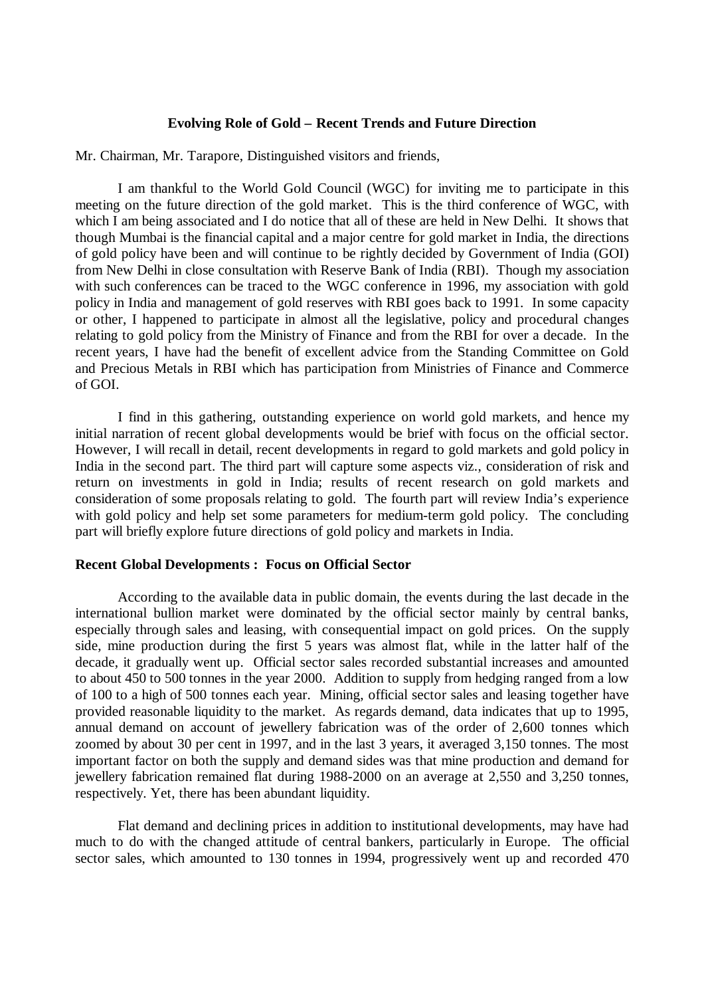# **Evolving Role of Gold – Recent Trends and Future Direction**

Mr. Chairman, Mr. Tarapore, Distinguished visitors and friends,

I am thankful to the World Gold Council (WGC) for inviting me to participate in this meeting on the future direction of the gold market. This is the third conference of WGC, with which I am being associated and I do notice that all of these are held in New Delhi. It shows that though Mumbai is the financial capital and a major centre for gold market in India, the directions of gold policy have been and will continue to be rightly decided by Government of India (GOI) from New Delhi in close consultation with Reserve Bank of India (RBI). Though my association with such conferences can be traced to the WGC conference in 1996, my association with gold policy in India and management of gold reserves with RBI goes back to 1991. In some capacity or other, I happened to participate in almost all the legislative, policy and procedural changes relating to gold policy from the Ministry of Finance and from the RBI for over a decade. In the recent years, I have had the benefit of excellent advice from the Standing Committee on Gold and Precious Metals in RBI which has participation from Ministries of Finance and Commerce of GOI.

I find in this gathering, outstanding experience on world gold markets, and hence my initial narration of recent global developments would be brief with focus on the official sector. However, I will recall in detail, recent developments in regard to gold markets and gold policy in India in the second part. The third part will capture some aspects viz., consideration of risk and return on investments in gold in India; results of recent research on gold markets and consideration of some proposals relating to gold. The fourth part will review India's experience with gold policy and help set some parameters for medium-term gold policy. The concluding part will briefly explore future directions of gold policy and markets in India.

#### **Recent Global Developments : Focus on Official Sector**

According to the available data in public domain, the events during the last decade in the international bullion market were dominated by the official sector mainly by central banks, especially through sales and leasing, with consequential impact on gold prices. On the supply side, mine production during the first 5 years was almost flat, while in the latter half of the decade, it gradually went up. Official sector sales recorded substantial increases and amounted to about 450 to 500 tonnes in the year 2000. Addition to supply from hedging ranged from a low of 100 to a high of 500 tonnes each year. Mining, official sector sales and leasing together have provided reasonable liquidity to the market. As regards demand, data indicates that up to 1995, annual demand on account of jewellery fabrication was of the order of 2,600 tonnes which zoomed by about 30 per cent in 1997, and in the last 3 years, it averaged 3,150 tonnes. The most important factor on both the supply and demand sides was that mine production and demand for jewellery fabrication remained flat during 1988-2000 on an average at 2,550 and 3,250 tonnes, respectively. Yet, there has been abundant liquidity.

Flat demand and declining prices in addition to institutional developments, may have had much to do with the changed attitude of central bankers, particularly in Europe. The official sector sales, which amounted to 130 tonnes in 1994, progressively went up and recorded 470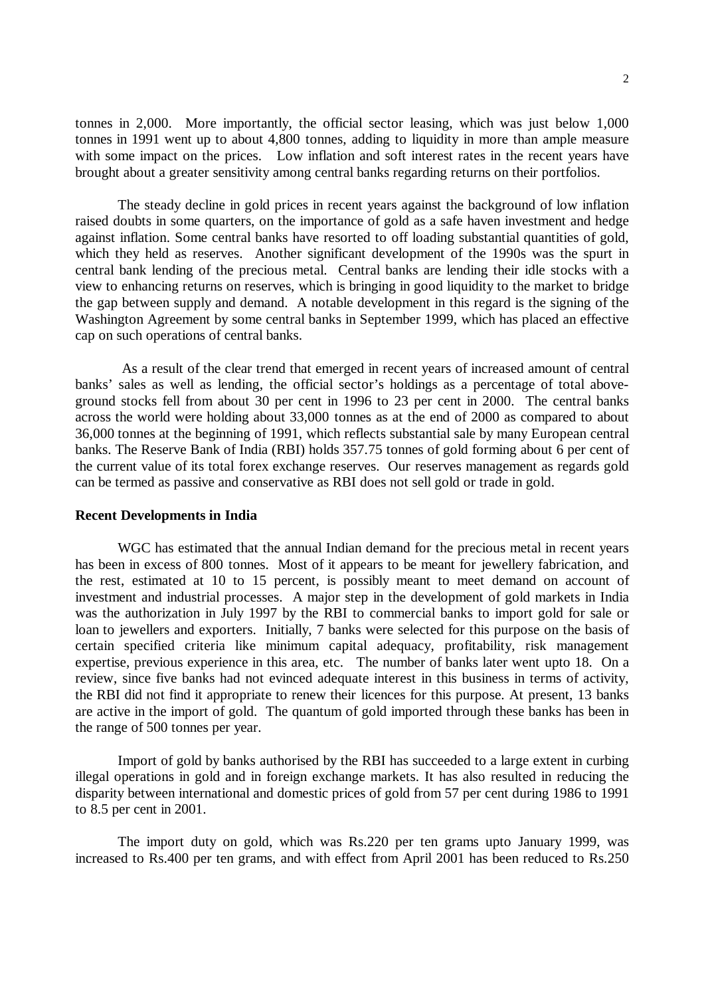tonnes in 2,000. More importantly, the official sector leasing, which was just below 1,000 tonnes in 1991 went up to about 4,800 tonnes, adding to liquidity in more than ample measure with some impact on the prices. Low inflation and soft interest rates in the recent years have brought about a greater sensitivity among central banks regarding returns on their portfolios.

The steady decline in gold prices in recent years against the background of low inflation raised doubts in some quarters, on the importance of gold as a safe haven investment and hedge against inflation. Some central banks have resorted to off loading substantial quantities of gold, which they held as reserves. Another significant development of the 1990s was the spurt in central bank lending of the precious metal. Central banks are lending their idle stocks with a view to enhancing returns on reserves, which is bringing in good liquidity to the market to bridge the gap between supply and demand. A notable development in this regard is the signing of the Washington Agreement by some central banks in September 1999, which has placed an effective cap on such operations of central banks.

 As a result of the clear trend that emerged in recent years of increased amount of central banks' sales as well as lending, the official sector's holdings as a percentage of total aboveground stocks fell from about 30 per cent in 1996 to 23 per cent in 2000. The central banks across the world were holding about 33,000 tonnes as at the end of 2000 as compared to about 36,000 tonnes at the beginning of 1991, which reflects substantial sale by many European central banks. The Reserve Bank of India (RBI) holds 357.75 tonnes of gold forming about 6 per cent of the current value of its total forex exchange reserves. Our reserves management as regards gold can be termed as passive and conservative as RBI does not sell gold or trade in gold.

## **Recent Developments in India**

WGC has estimated that the annual Indian demand for the precious metal in recent years has been in excess of 800 tonnes. Most of it appears to be meant for jewellery fabrication, and the rest, estimated at 10 to 15 percent, is possibly meant to meet demand on account of investment and industrial processes. A major step in the development of gold markets in India was the authorization in July 1997 by the RBI to commercial banks to import gold for sale or loan to jewellers and exporters. Initially, 7 banks were selected for this purpose on the basis of certain specified criteria like minimum capital adequacy, profitability, risk management expertise, previous experience in this area, etc. The number of banks later went upto 18. On a review, since five banks had not evinced adequate interest in this business in terms of activity, the RBI did not find it appropriate to renew their licences for this purpose. At present, 13 banks are active in the import of gold. The quantum of gold imported through these banks has been in the range of 500 tonnes per year.

Import of gold by banks authorised by the RBI has succeeded to a large extent in curbing illegal operations in gold and in foreign exchange markets. It has also resulted in reducing the disparity between international and domestic prices of gold from 57 per cent during 1986 to 1991 to 8.5 per cent in 2001.

The import duty on gold, which was Rs.220 per ten grams upto January 1999, was increased to Rs.400 per ten grams, and with effect from April 2001 has been reduced to Rs.250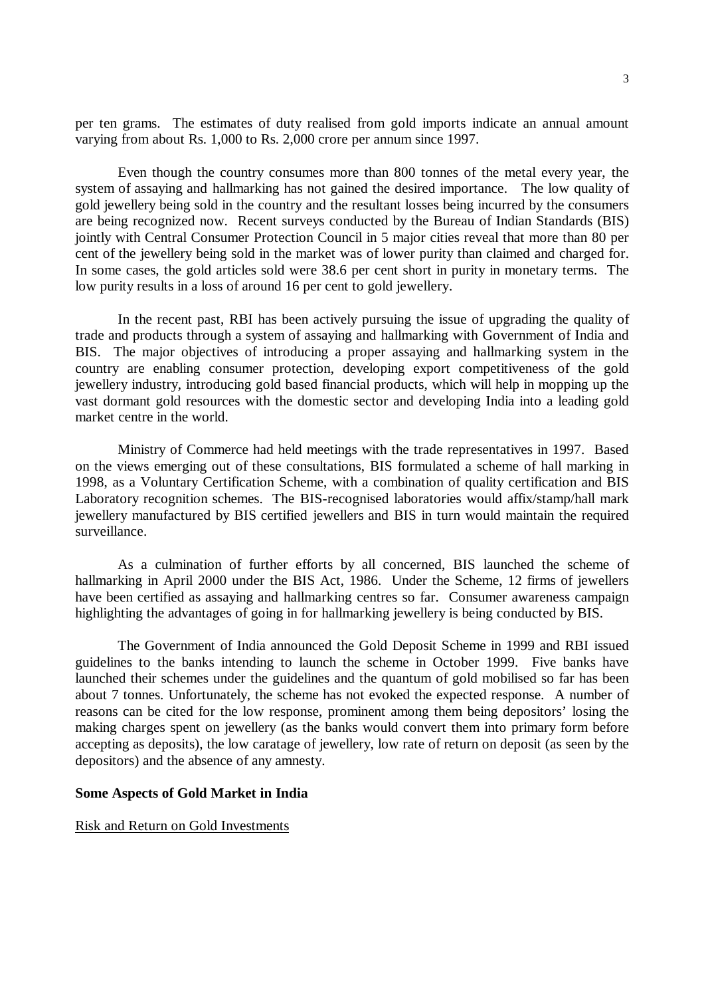per ten grams. The estimates of duty realised from gold imports indicate an annual amount varying from about Rs. 1,000 to Rs. 2,000 crore per annum since 1997.

Even though the country consumes more than 800 tonnes of the metal every year, the system of assaying and hallmarking has not gained the desired importance. The low quality of gold jewellery being sold in the country and the resultant losses being incurred by the consumers are being recognized now. Recent surveys conducted by the Bureau of Indian Standards (BIS) jointly with Central Consumer Protection Council in 5 major cities reveal that more than 80 per cent of the jewellery being sold in the market was of lower purity than claimed and charged for. In some cases, the gold articles sold were 38.6 per cent short in purity in monetary terms. The low purity results in a loss of around 16 per cent to gold jewellery.

In the recent past, RBI has been actively pursuing the issue of upgrading the quality of trade and products through a system of assaying and hallmarking with Government of India and BIS. The major objectives of introducing a proper assaying and hallmarking system in the country are enabling consumer protection, developing export competitiveness of the gold jewellery industry, introducing gold based financial products, which will help in mopping up the vast dormant gold resources with the domestic sector and developing India into a leading gold market centre in the world.

Ministry of Commerce had held meetings with the trade representatives in 1997. Based on the views emerging out of these consultations, BIS formulated a scheme of hall marking in 1998, as a Voluntary Certification Scheme, with a combination of quality certification and BIS Laboratory recognition schemes. The BIS-recognised laboratories would affix/stamp/hall mark jewellery manufactured by BIS certified jewellers and BIS in turn would maintain the required surveillance.

As a culmination of further efforts by all concerned, BIS launched the scheme of hallmarking in April 2000 under the BIS Act, 1986. Under the Scheme, 12 firms of jewellers have been certified as assaying and hallmarking centres so far. Consumer awareness campaign highlighting the advantages of going in for hallmarking jewellery is being conducted by BIS.

The Government of India announced the Gold Deposit Scheme in 1999 and RBI issued guidelines to the banks intending to launch the scheme in October 1999. Five banks have launched their schemes under the guidelines and the quantum of gold mobilised so far has been about 7 tonnes. Unfortunately, the scheme has not evoked the expected response. A number of reasons can be cited for the low response, prominent among them being depositors' losing the making charges spent on jewellery (as the banks would convert them into primary form before accepting as deposits), the low caratage of jewellery, low rate of return on deposit (as seen by the depositors) and the absence of any amnesty.

# **Some Aspects of Gold Market in India**

Risk and Return on Gold Investments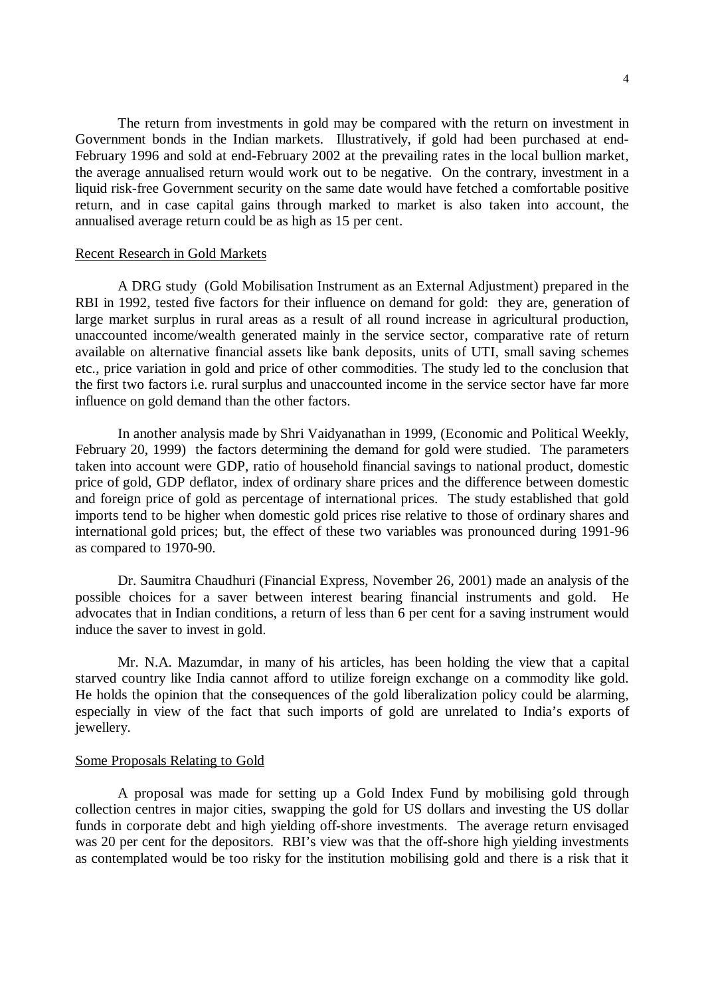The return from investments in gold may be compared with the return on investment in Government bonds in the Indian markets. Illustratively, if gold had been purchased at end-February 1996 and sold at end-February 2002 at the prevailing rates in the local bullion market, the average annualised return would work out to be negative. On the contrary, investment in a liquid risk-free Government security on the same date would have fetched a comfortable positive return, and in case capital gains through marked to market is also taken into account, the annualised average return could be as high as 15 per cent.

## Recent Research in Gold Markets

A DRG study (Gold Mobilisation Instrument as an External Adjustment) prepared in the RBI in 1992, tested five factors for their influence on demand for gold: they are, generation of large market surplus in rural areas as a result of all round increase in agricultural production, unaccounted income/wealth generated mainly in the service sector, comparative rate of return available on alternative financial assets like bank deposits, units of UTI, small saving schemes etc., price variation in gold and price of other commodities. The study led to the conclusion that the first two factors i.e. rural surplus and unaccounted income in the service sector have far more influence on gold demand than the other factors.

In another analysis made by Shri Vaidyanathan in 1999, (Economic and Political Weekly, February 20, 1999) the factors determining the demand for gold were studied. The parameters taken into account were GDP, ratio of household financial savings to national product, domestic price of gold, GDP deflator, index of ordinary share prices and the difference between domestic and foreign price of gold as percentage of international prices. The study established that gold imports tend to be higher when domestic gold prices rise relative to those of ordinary shares and international gold prices; but, the effect of these two variables was pronounced during 1991-96 as compared to 1970-90.

Dr. Saumitra Chaudhuri (Financial Express, November 26, 2001) made an analysis of the possible choices for a saver between interest bearing financial instruments and gold. He advocates that in Indian conditions, a return of less than 6 per cent for a saving instrument would induce the saver to invest in gold.

Mr. N.A. Mazumdar, in many of his articles, has been holding the view that a capital starved country like India cannot afford to utilize foreign exchange on a commodity like gold. He holds the opinion that the consequences of the gold liberalization policy could be alarming, especially in view of the fact that such imports of gold are unrelated to India's exports of jewellery.

#### Some Proposals Relating to Gold

A proposal was made for setting up a Gold Index Fund by mobilising gold through collection centres in major cities, swapping the gold for US dollars and investing the US dollar funds in corporate debt and high yielding off-shore investments. The average return envisaged was 20 per cent for the depositors. RBI's view was that the off-shore high yielding investments as contemplated would be too risky for the institution mobilising gold and there is a risk that it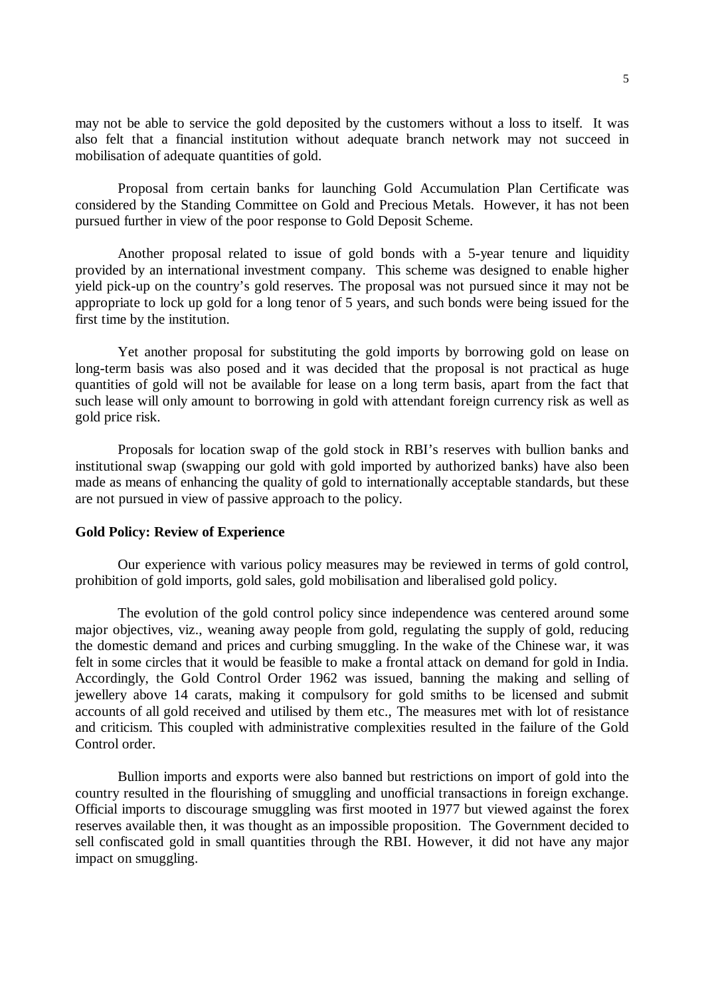may not be able to service the gold deposited by the customers without a loss to itself. It was also felt that a financial institution without adequate branch network may not succeed in mobilisation of adequate quantities of gold.

Proposal from certain banks for launching Gold Accumulation Plan Certificate was considered by the Standing Committee on Gold and Precious Metals. However, it has not been pursued further in view of the poor response to Gold Deposit Scheme.

Another proposal related to issue of gold bonds with a 5-year tenure and liquidity provided by an international investment company. This scheme was designed to enable higher yield pick-up on the country's gold reserves. The proposal was not pursued since it may not be appropriate to lock up gold for a long tenor of 5 years, and such bonds were being issued for the first time by the institution.

Yet another proposal for substituting the gold imports by borrowing gold on lease on long-term basis was also posed and it was decided that the proposal is not practical as huge quantities of gold will not be available for lease on a long term basis, apart from the fact that such lease will only amount to borrowing in gold with attendant foreign currency risk as well as gold price risk.

Proposals for location swap of the gold stock in RBI's reserves with bullion banks and institutional swap (swapping our gold with gold imported by authorized banks) have also been made as means of enhancing the quality of gold to internationally acceptable standards, but these are not pursued in view of passive approach to the policy.

### **Gold Policy: Review of Experience**

Our experience with various policy measures may be reviewed in terms of gold control, prohibition of gold imports, gold sales, gold mobilisation and liberalised gold policy.

The evolution of the gold control policy since independence was centered around some major objectives, viz., weaning away people from gold, regulating the supply of gold, reducing the domestic demand and prices and curbing smuggling. In the wake of the Chinese war, it was felt in some circles that it would be feasible to make a frontal attack on demand for gold in India. Accordingly, the Gold Control Order 1962 was issued, banning the making and selling of jewellery above 14 carats, making it compulsory for gold smiths to be licensed and submit accounts of all gold received and utilised by them etc., The measures met with lot of resistance and criticism. This coupled with administrative complexities resulted in the failure of the Gold Control order.

Bullion imports and exports were also banned but restrictions on import of gold into the country resulted in the flourishing of smuggling and unofficial transactions in foreign exchange. Official imports to discourage smuggling was first mooted in 1977 but viewed against the forex reserves available then, it was thought as an impossible proposition. The Government decided to sell confiscated gold in small quantities through the RBI. However, it did not have any major impact on smuggling.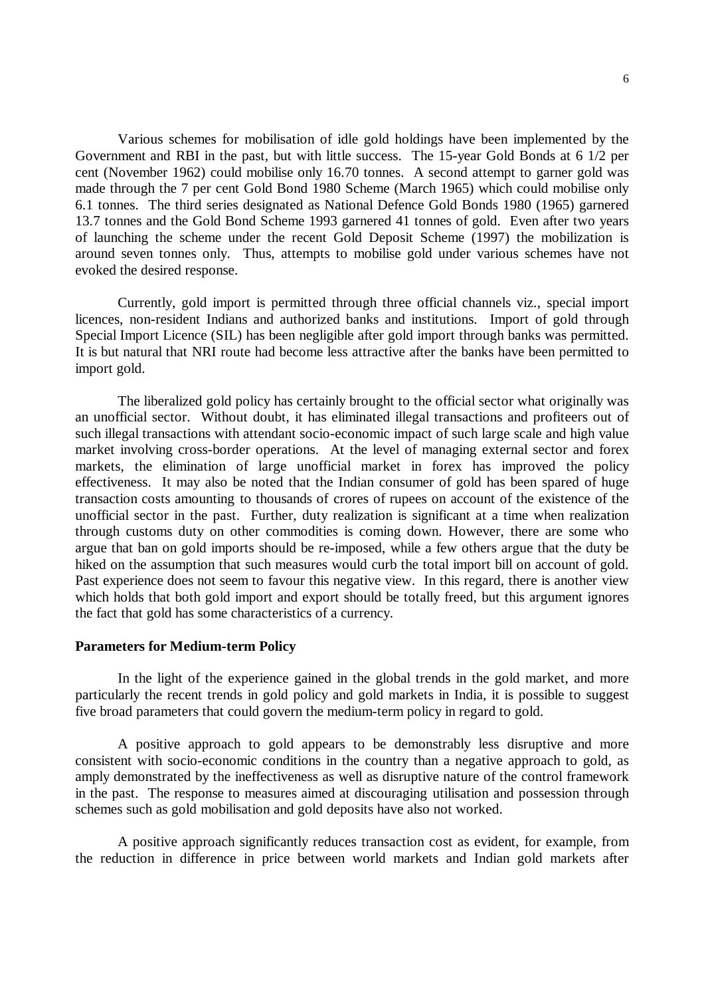6

Various schemes for mobilisation of idle gold holdings have been implemented by the Government and RBI in the past, but with little success. The 15-year Gold Bonds at 6 1/2 per cent (November 1962) could mobilise only 16.70 tonnes. A second attempt to garner gold was made through the 7 per cent Gold Bond 1980 Scheme (March 1965) which could mobilise only 6.1 tonnes. The third series designated as National Defence Gold Bonds 1980 (1965) garnered 13.7 tonnes and the Gold Bond Scheme 1993 garnered 41 tonnes of gold. Even after two years of launching the scheme under the recent Gold Deposit Scheme (1997) the mobilization is around seven tonnes only. Thus, attempts to mobilise gold under various schemes have not evoked the desired response.

Currently, gold import is permitted through three official channels viz., special import licences, non-resident Indians and authorized banks and institutions. Import of gold through Special Import Licence (SIL) has been negligible after gold import through banks was permitted. It is but natural that NRI route had become less attractive after the banks have been permitted to import gold.

The liberalized gold policy has certainly brought to the official sector what originally was an unofficial sector. Without doubt, it has eliminated illegal transactions and profiteers out of such illegal transactions with attendant socio-economic impact of such large scale and high value market involving cross-border operations. At the level of managing external sector and forex markets, the elimination of large unofficial market in forex has improved the policy effectiveness. It may also be noted that the Indian consumer of gold has been spared of huge transaction costs amounting to thousands of crores of rupees on account of the existence of the unofficial sector in the past. Further, duty realization is significant at a time when realization through customs duty on other commodities is coming down. However, there are some who argue that ban on gold imports should be re-imposed, while a few others argue that the duty be hiked on the assumption that such measures would curb the total import bill on account of gold. Past experience does not seem to favour this negative view. In this regard, there is another view which holds that both gold import and export should be totally freed, but this argument ignores the fact that gold has some characteristics of a currency.

### **Parameters for Medium-term Policy**

In the light of the experience gained in the global trends in the gold market, and more particularly the recent trends in gold policy and gold markets in India, it is possible to suggest five broad parameters that could govern the medium-term policy in regard to gold.

A positive approach to gold appears to be demonstrably less disruptive and more consistent with socio-economic conditions in the country than a negative approach to gold, as amply demonstrated by the ineffectiveness as well as disruptive nature of the control framework in the past. The response to measures aimed at discouraging utilisation and possession through schemes such as gold mobilisation and gold deposits have also not worked.

A positive approach significantly reduces transaction cost as evident, for example, from the reduction in difference in price between world markets and Indian gold markets after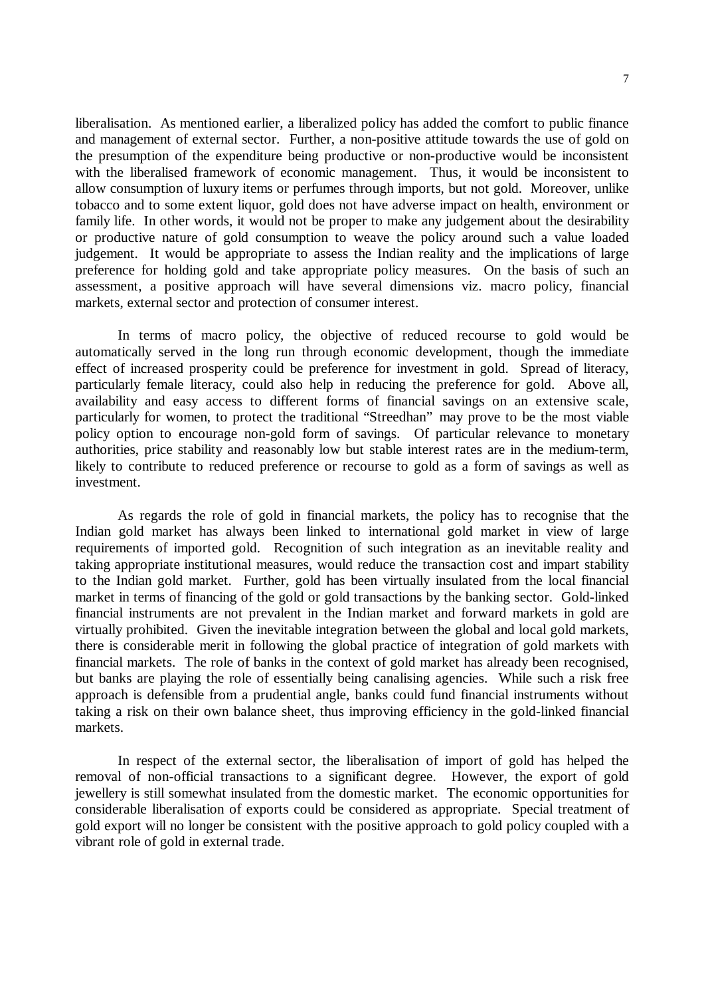liberalisation. As mentioned earlier, a liberalized policy has added the comfort to public finance and management of external sector. Further, a non-positive attitude towards the use of gold on the presumption of the expenditure being productive or non-productive would be inconsistent with the liberalised framework of economic management. Thus, it would be inconsistent to allow consumption of luxury items or perfumes through imports, but not gold. Moreover, unlike tobacco and to some extent liquor, gold does not have adverse impact on health, environment or family life. In other words, it would not be proper to make any judgement about the desirability or productive nature of gold consumption to weave the policy around such a value loaded judgement. It would be appropriate to assess the Indian reality and the implications of large preference for holding gold and take appropriate policy measures. On the basis of such an assessment, a positive approach will have several dimensions viz. macro policy, financial markets, external sector and protection of consumer interest.

In terms of macro policy, the objective of reduced recourse to gold would be automatically served in the long run through economic development, though the immediate effect of increased prosperity could be preference for investment in gold. Spread of literacy, particularly female literacy, could also help in reducing the preference for gold. Above all, availability and easy access to different forms of financial savings on an extensive scale, particularly for women, to protect the traditional "Streedhan" may prove to be the most viable policy option to encourage non-gold form of savings. Of particular relevance to monetary authorities, price stability and reasonably low but stable interest rates are in the medium-term, likely to contribute to reduced preference or recourse to gold as a form of savings as well as investment.

As regards the role of gold in financial markets, the policy has to recognise that the Indian gold market has always been linked to international gold market in view of large requirements of imported gold. Recognition of such integration as an inevitable reality and taking appropriate institutional measures, would reduce the transaction cost and impart stability to the Indian gold market. Further, gold has been virtually insulated from the local financial market in terms of financing of the gold or gold transactions by the banking sector. Gold-linked financial instruments are not prevalent in the Indian market and forward markets in gold are virtually prohibited. Given the inevitable integration between the global and local gold markets, there is considerable merit in following the global practice of integration of gold markets with financial markets. The role of banks in the context of gold market has already been recognised, but banks are playing the role of essentially being canalising agencies. While such a risk free approach is defensible from a prudential angle, banks could fund financial instruments without taking a risk on their own balance sheet, thus improving efficiency in the gold-linked financial markets.

In respect of the external sector, the liberalisation of import of gold has helped the removal of non-official transactions to a significant degree. However, the export of gold jewellery is still somewhat insulated from the domestic market. The economic opportunities for considerable liberalisation of exports could be considered as appropriate. Special treatment of gold export will no longer be consistent with the positive approach to gold policy coupled with a vibrant role of gold in external trade.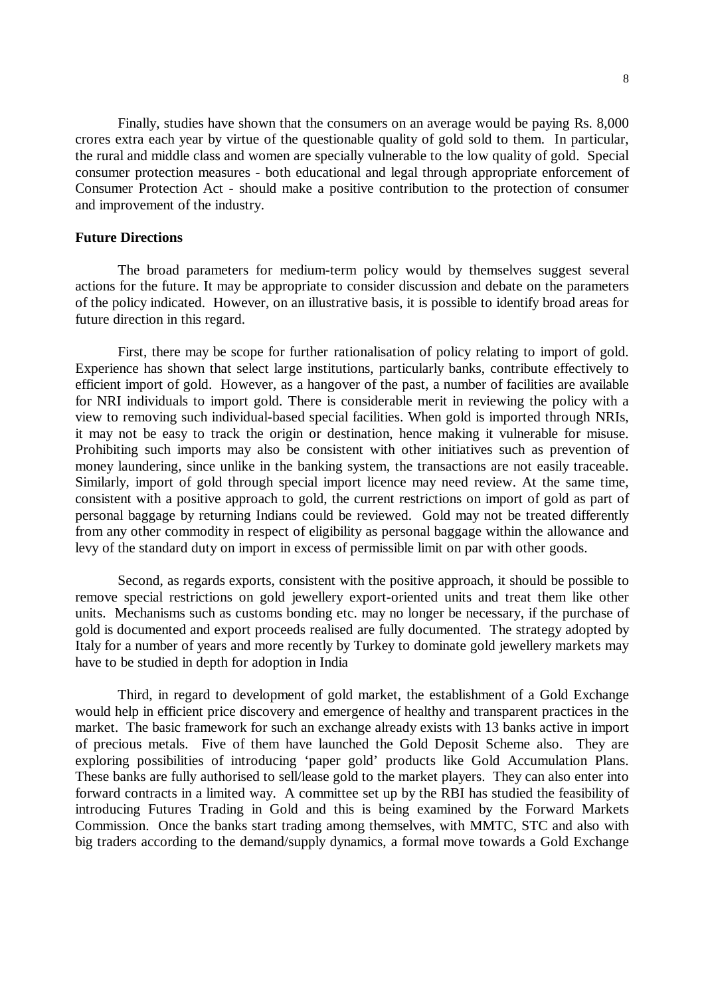Finally, studies have shown that the consumers on an average would be paying Rs. 8,000 crores extra each year by virtue of the questionable quality of gold sold to them. In particular, the rural and middle class and women are specially vulnerable to the low quality of gold. Special consumer protection measures - both educational and legal through appropriate enforcement of Consumer Protection Act - should make a positive contribution to the protection of consumer and improvement of the industry.

# **Future Directions**

The broad parameters for medium-term policy would by themselves suggest several actions for the future. It may be appropriate to consider discussion and debate on the parameters of the policy indicated. However, on an illustrative basis, it is possible to identify broad areas for future direction in this regard.

First, there may be scope for further rationalisation of policy relating to import of gold. Experience has shown that select large institutions, particularly banks, contribute effectively to efficient import of gold. However, as a hangover of the past, a number of facilities are available for NRI individuals to import gold. There is considerable merit in reviewing the policy with a view to removing such individual-based special facilities. When gold is imported through NRIs, it may not be easy to track the origin or destination, hence making it vulnerable for misuse. Prohibiting such imports may also be consistent with other initiatives such as prevention of money laundering, since unlike in the banking system, the transactions are not easily traceable. Similarly, import of gold through special import licence may need review. At the same time, consistent with a positive approach to gold, the current restrictions on import of gold as part of personal baggage by returning Indians could be reviewed. Gold may not be treated differently from any other commodity in respect of eligibility as personal baggage within the allowance and levy of the standard duty on import in excess of permissible limit on par with other goods.

Second, as regards exports, consistent with the positive approach, it should be possible to remove special restrictions on gold jewellery export-oriented units and treat them like other units. Mechanisms such as customs bonding etc. may no longer be necessary, if the purchase of gold is documented and export proceeds realised are fully documented. The strategy adopted by Italy for a number of years and more recently by Turkey to dominate gold jewellery markets may have to be studied in depth for adoption in India

Third, in regard to development of gold market, the establishment of a Gold Exchange would help in efficient price discovery and emergence of healthy and transparent practices in the market. The basic framework for such an exchange already exists with 13 banks active in import of precious metals. Five of them have launched the Gold Deposit Scheme also. They are exploring possibilities of introducing 'paper gold' products like Gold Accumulation Plans. These banks are fully authorised to sell/lease gold to the market players. They can also enter into forward contracts in a limited way. A committee set up by the RBI has studied the feasibility of introducing Futures Trading in Gold and this is being examined by the Forward Markets Commission. Once the banks start trading among themselves, with MMTC, STC and also with big traders according to the demand/supply dynamics, a formal move towards a Gold Exchange